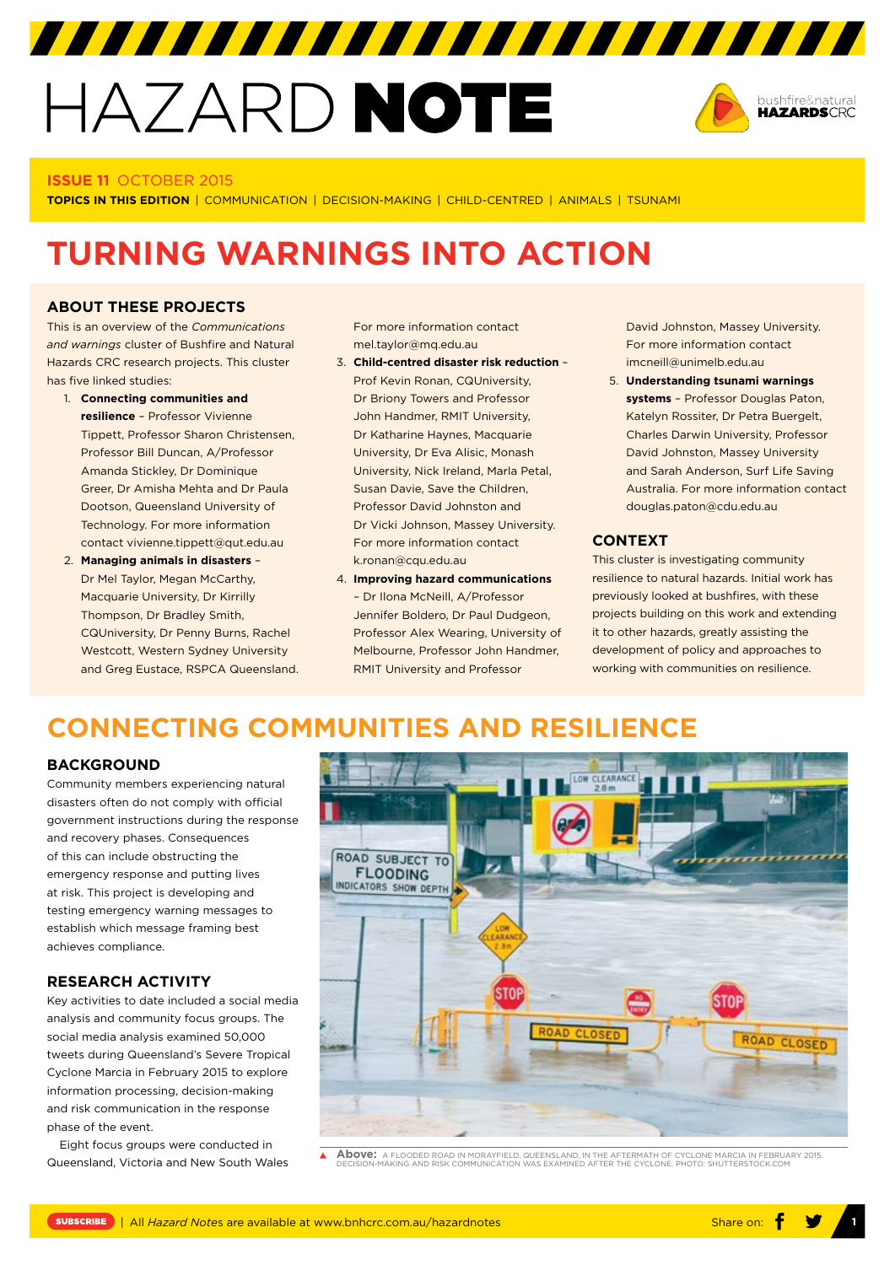# HAZARD NOTE



#### **ISSUE 11** OCTOBER 2015

**TOPICS IN THIS EDITION** | COMMUNICATION | DECISION-MAKING | CHILD-CENTRED | ANIMALS | TSUNAMI

# **TURNING WARNINGS INTO ACTION**

#### **ABOUT THESE PROJECTS**

This is an overview of the *Communications and warnings* cluster of Bushfire and Natural Hazards CRC research projects. This cluster has five linked studies:

- 1. **Connecting communities and resilience** – Professor Vivienne Tippett, Professor Sharon Christensen, Professor Bill Duncan, A/Professor Amanda Stickley, Dr Dominique Greer, Dr Amisha Mehta and Dr Paula Dootson, Queensland University of Technology. For more information contact [vivienne.tippett@qut.edu.au](mailto:vivienne.tippett@qut.edu.au)
- 2. **Managing animals in disasters** Dr Mel Taylor, Megan McCarthy, Macquarie University, Dr Kirrilly Thompson, Dr Bradley Smith, CQUniversity, Dr Penny Burns, Rachel Westcott, Western Sydney University and Greg Eustace, RSPCA Queensland.

For more information contact [mel.taylor@mq.edu.au](mailto:mel.taylor@mq.edu.au)

- 3. **Child-centred disaster risk reduction** Prof Kevin Ronan, CQUniversity, Dr Briony Towers and Professor John Handmer, RMIT University, Dr Katharine Haynes, Macquarie University, Dr Eva Alisic, Monash University, Nick Ireland, Marla Petal, Susan Davie, Save the Children, Professor David Johnston and Dr Vicki Johnson, Massey University. For more information contact [k.ronan@cqu.edu.au](mailto:k.ronan@cqu.edu.au)
- 4. **Improving hazard communications** – Dr Ilona McNeill, A/Professor Jennifer Boldero, Dr Paul Dudgeon, Professor Alex Wearing, University of Melbourne, Professor John Handmer, RMIT University and Professor

David Johnston, Massey University. For more information contact [imcneill@unimelb.edu.au](mailto:imcneill@unimelb.edu.au)

5. **Understanding tsunami warnings systems** – Professor Douglas Paton, Katelyn Rossiter, Dr Petra Buergelt, Charles Darwin University, Professor David Johnston, Massey University and Sarah Anderson, Surf Life Saving Australia. For more information contact [douglas.paton@cdu.edu.au](mailto:douglas.paton@cdu.edu.au)

#### **CONTEXT**

This cluster is investigating community resilience to natural hazards. Initial work has previously looked at bushfires, with these projects building on this work and extending it to other hazards, greatly assisting the development of policy and approaches to working with communities on resilience.

## **CONNECTING COMMUNITIES AND RESILIENCE**

#### **BACKGROUND**

Community members experiencing natural disasters often do not comply with official government instructions during the response and recovery phases. Consequences of this can include obstructing the emergency response and putting lives at risk. This project is developing and testing emergency warning messages to establish which message framing best achieves compliance.

#### **RESEARCH ACTIVITY**

Key activities to date included a social media analysis and community focus groups. The social media analysis examined 50,000 tweets during Queensland's Severe Tropical Cyclone Marcia in February 2015 to explore information processing, decision-making and risk communication in the response phase of the event.

Eight focus groups were conducted in Queensland, Victoria and New South Wales



**Above:** A FLOODED ROAD IN MORAYFIELD, QUEENSLAND, IN THE AFTERMATH OF CYCLONE MARCIA IN FEBRUARY 2015. DECISION-MAKING AND RISK COMMUNICATION WAS EXAMINED AFTER THE CYCLONE. PHOTO: SHUTTERSTOCK.COM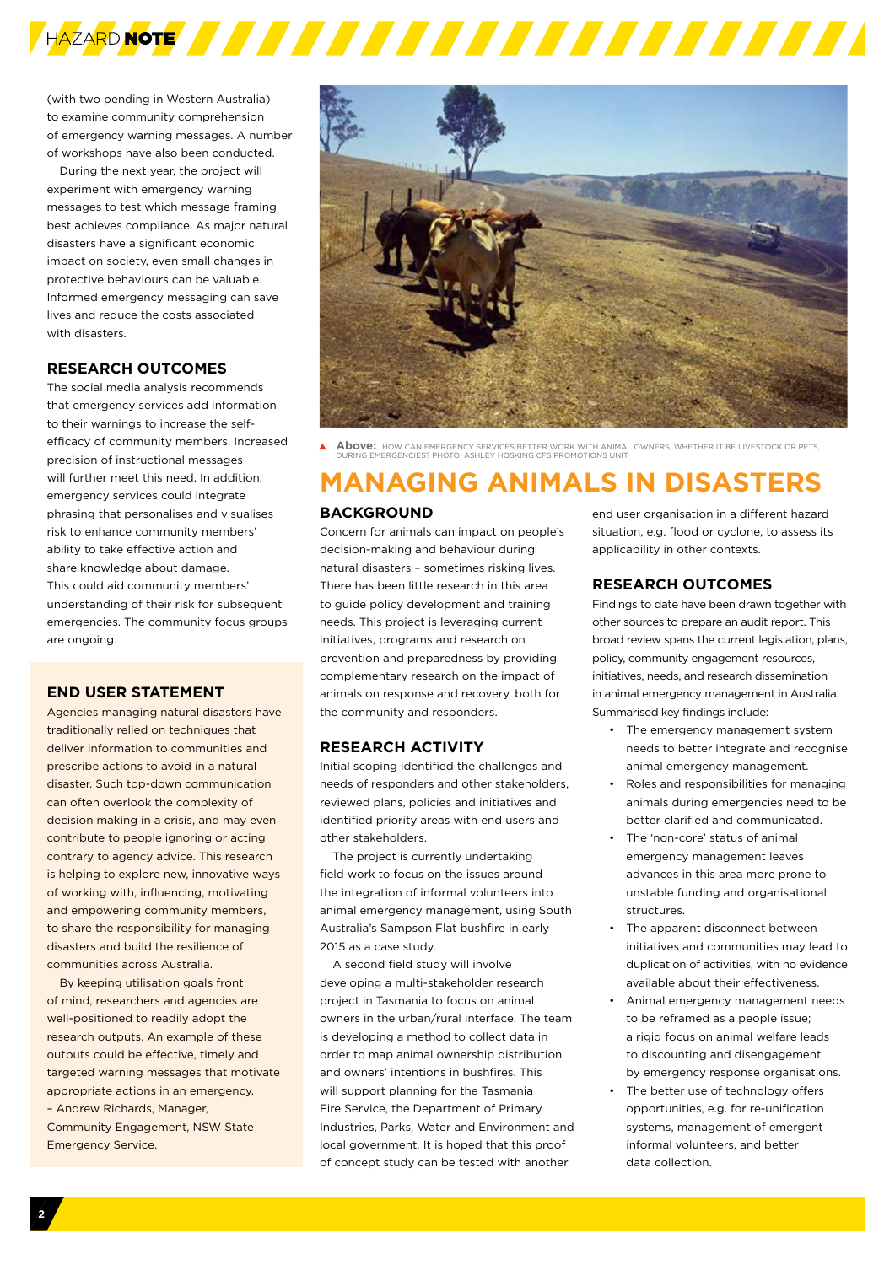

(with two pending in Western Australia) to examine community comprehension of emergency warning messages. A number of workshops have also been conducted.

During the next year, the project will experiment with emergency warning messages to test which message framing best achieves compliance. As major natural disasters have a significant economic impact on society, even small changes in protective behaviours can be valuable. Informed emergency messaging can save lives and reduce the costs associated with disasters.

#### **RESEARCH OUTCOMES**

The social media analysis recommends that emergency services add information to their warnings to increase the selfefficacy of community members. Increased precision of instructional messages will further meet this need. In addition emergency services could integrate phrasing that personalises and visualises risk to enhance community members' ability to take effective action and share knowledge about damage. This could aid community members' understanding of their risk for subsequent emergencies. The community focus groups are ongoing.

#### **END USER STATEMENT**

Agencies managing natural disasters have traditionally relied on techniques that deliver information to communities and prescribe actions to avoid in a natural disaster. Such top-down communication can often overlook the complexity of decision making in a crisis, and may even contribute to people ignoring or acting contrary to agency advice. This research is helping to explore new, innovative ways of working with, influencing, motivating and empowering community members, to share the responsibility for managing disasters and build the resilience of communities across Australia.

By keeping utilisation goals front of mind, researchers and agencies are well-positioned to readily adopt the research outputs. An example of these outputs could be effective, timely and targeted warning messages that motivate appropriate actions in an emergency. – [Andrew Richards,](http://www.bnhcrc.com.au/people/andrew-richards) Manager, Community Engagement, NSW State Emergency Service.



**Above:** HOW CAN EMERGENCY SERVICES BETTER WORK WITH ANIMAL OWNERS, WHETHER IT BE LIVESTOCK OR PETS, DURING EMERGENCIES? PHOTO: ASHLEY HOSKING CFS PROMOTIONS UNIT

## **MANAGING ANIMALS IN DISASTERS**

#### **BACKGROUND**

Concern for animals can impact on people's decision-making and behaviour during natural disasters – sometimes risking lives. There has been little research in this area to guide policy development and training needs. This project is leveraging current initiatives, programs and research on prevention and preparedness by providing complementary research on the impact of animals on response and recovery, both for the community and responders.

#### **RESEARCH ACTIVITY**

Initial scoping identified the challenges and needs of responders and other stakeholders, reviewed plans, policies and initiatives and identified priority areas with end users and other stakeholders.

The project is currently undertaking field work to focus on the issues around the integration of informal volunteers into animal emergency management, using South Australia's Sampson Flat bushfire in early 2015 as a case study.

A second field study will involve developing a multi-stakeholder research project in Tasmania to focus on animal owners in the urban/rural interface. The team is developing a method to collect data in order to map animal ownership distribution and owners' intentions in bushfires. This will support planning for the Tasmania Fire Service, the Department of Primary Industries, Parks, Water and Environment and local government. It is hoped that this proof of concept study can be tested with another

end user organisation in a different hazard situation, e.g. flood or cyclone, to assess its applicability in other contexts.

#### **RESEARCH OUTCOMES**

Findings to date have been drawn together with other sources to prepare an audit report. This broad review spans the current legislation, plans, policy, community engagement resources, initiatives, needs, and research dissemination in animal emergency management in Australia. Summarised key findings include:

- The emergency management system needs to better integrate and recognise animal emergency management.
- Roles and responsibilities for managing animals during emergencies need to be better clarified and communicated.
- The 'non-core' status of animal emergency management leaves advances in this area more prone to unstable funding and organisational structures.
- The apparent disconnect between initiatives and communities may lead to duplication of activities, with no evidence available about their effectiveness.
- Animal emergency management needs to be reframed as a people issue; a rigid focus on animal welfare leads to discounting and disengagement by emergency response organisations.
- The better use of technology offers opportunities, e.g. for re-unification systems, management of emergent informal volunteers, and better data collection.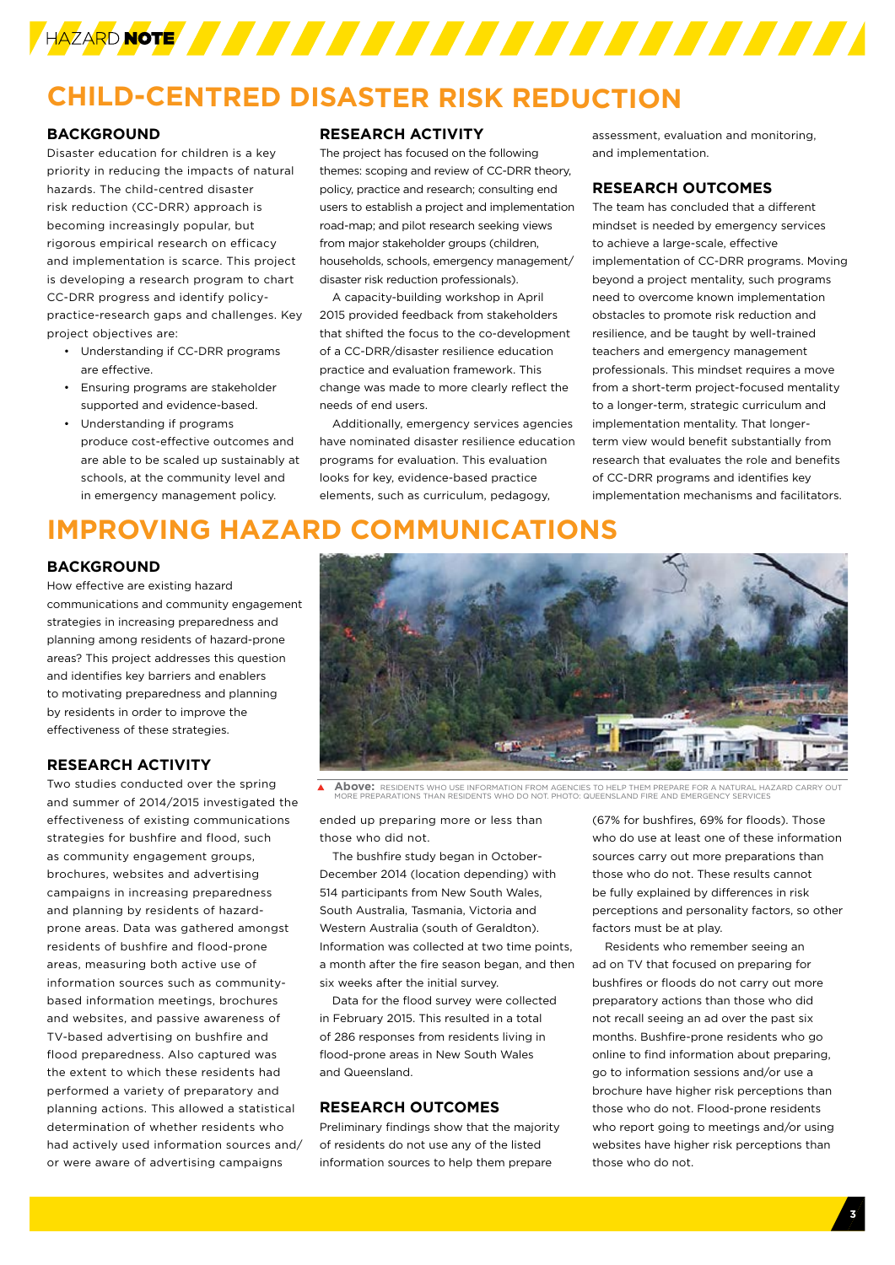

## **CHILD-CENTRED DISASTER RISK REDUCTION**

#### **BACKGROUND**

Disaster education for children is a key priority in reducing the impacts of natural hazards. The child-centred disaster risk reduction (CC-DRR) approach is becoming increasingly popular, but rigorous empirical research on efficacy and implementation is scarce. This project is developing a research program to chart CC-DRR progress and identify policypractice-research gaps and challenges. Key project objectives are:

- Understanding if CC-DRR programs are effective.
- Ensuring programs are stakeholder supported and evidence-based.
- Understanding if programs produce cost-effective outcomes and are able to be scaled up sustainably at schools, at the community level and in emergency management policy.

#### **RESEARCH ACTIVITY**

The project has focused on the following themes: scoping and review of CC-DRR theory, policy, practice and research; consulting end users to establish a project and implementation road-map; and pilot research seeking views from major stakeholder groups (children, households, schools, emergency management/ disaster risk reduction professionals).

A capacity-building workshop in April 2015 provided feedback from stakeholders that shifted the focus to the co-development of a CC-DRR/disaster resilience education practice and evaluation framework. This change was made to more clearly reflect the needs of end users.

Additionally, emergency services agencies have nominated disaster resilience education programs for evaluation. This evaluation looks for key, evidence-based practice elements, such as curriculum, pedagogy,

assessment, evaluation and monitoring, and implementation.

#### **RESEARCH OUTCOMES**

The team has concluded that a different mindset is needed by emergency services to achieve a large-scale, effective implementation of CC-DRR programs. Moving beyond a project mentality, such programs need to overcome known implementation obstacles to promote risk reduction and resilience, and be taught by well-trained teachers and emergency management professionals. This mindset requires a move from a short-term project-focused mentality to a longer-term, strategic curriculum and implementation mentality. That longerterm view would benefit substantially from research that evaluates the role and benefits of CC-DRR programs and identifies key implementation mechanisms and facilitators.

## **IMPROVING HAZARD COMMUNICATIONS**

#### **BACKGROUND**

How effective are existing hazard communications and community engagement strategies in increasing preparedness and planning among residents of hazard-prone areas? This project addresses this question and identifies key barriers and enablers to motivating preparedness and planning by residents in order to improve the effectiveness of these strategies.

#### **RESEARCH ACTIVITY**

Two studies conducted over the spring and summer of 2014/2015 investigated the effectiveness of existing communications strategies for bushfire and flood, such as community engagement groups, brochures, websites and advertising campaigns in increasing preparedness and planning by residents of hazardprone areas. Data was gathered amongst residents of bushfire and flood-prone areas, measuring both active use of information sources such as communitybased information meetings, brochures and websites, and passive awareness of TV-based advertising on bushfire and flood preparedness. Also captured was the extent to which these residents had performed a variety of preparatory and planning actions. This allowed a statistical determination of whether residents who had actively used information sources and/ or were aware of advertising campaigns



 $\blacktriangle$ **Above:** RESIDENTS WHO USE INFORMATION FROM AGENCIES TO HELP THEM PREPARE FOR A NATURAL HAZARD CARRY OUT MORE PREPARATIONS THAN RESIDENTS WHO DO NOT. PHOTO: QUEENSLAND FIRE AND EMERGENCY SERVICES

ended up preparing more or less than those who did not.

The bushfire study began in October-December 2014 (location depending) with 514 participants from New South Wales, South Australia, Tasmania, Victoria and Western Australia (south of Geraldton). Information was collected at two time points, a month after the fire season began, and then six weeks after the initial survey.

Data for the flood survey were collected in February 2015. This resulted in a total of 286 responses from residents living in flood-prone areas in New South Wales and Queensland.

#### **RESEARCH OUTCOMES**

Preliminary findings show that the majority of residents do not use any of the listed information sources to help them prepare

(67% for bushfires, 69% for floods). Those who do use at least one of these information sources carry out more preparations than those who do not. These results cannot be fully explained by differences in risk perceptions and personality factors, so other factors must be at play.

Residents who remember seeing an ad on TV that focused on preparing for bushfires or floods do not carry out more preparatory actions than those who did not recall seeing an ad over the past six months. Bushfire-prone residents who go online to find information about preparing, go to information sessions and/or use a brochure have higher risk perceptions than those who do not. Flood-prone residents who report going to meetings and/or using websites have higher risk perceptions than those who do not.